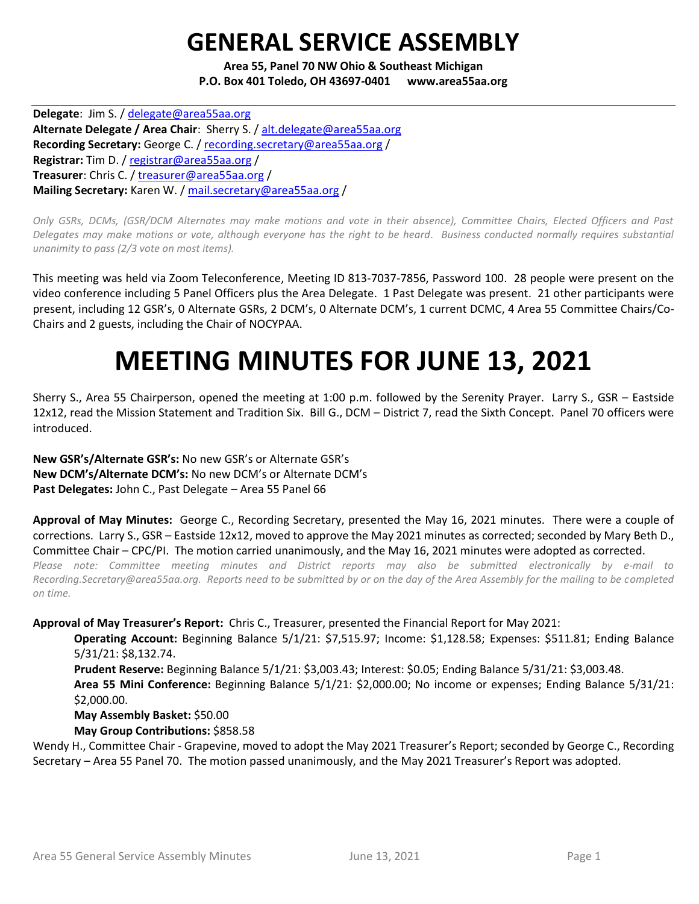## **GENERAL SERVICE ASSEMBLY**

**Area 55, Panel 70 NW Ohio & Southeast Michigan P.O. Box 401 Toledo, OH 43697-0401 www.area55aa.org**

**Delegate**: Jim S. / [delegate@area55aa.org](mailto:delegate@area55aa.org) **Alternate Delegate / Area Chair**: Sherry S. / [alt.delegate@area55aa.org](mailto:alt.delegate@area55aa.org) Recording Secretary: George C. / [recording.secretary@area55aa.org](mailto:recording.secretary@area55aa.org) / **Registrar:** Tim D. / [registrar@area55aa.org](mailto:recording.secretary@area55aa.org) / **Treasurer**: Chris C. / [treasurer@area55aa.org](mailto:recording.secretary@area55aa.org) / **Mailing Secretary:** Karen W. [/ mail.secretary@area55aa.org](mailto:recording.secretary@area55aa.org) /

*Only GSRs, DCMs, (GSR/DCM Alternates may make motions and vote in their absence), Committee Chairs, Elected Officers and Past Delegates may make motions or vote, although everyone has the right to be heard. Business conducted normally requires substantial unanimity to pass (2/3 vote on most items).*

This meeting was held via Zoom Teleconference, Meeting ID 813-7037-7856, Password 100. 28 people were present on the video conference including 5 Panel Officers plus the Area Delegate. 1 Past Delegate was present. 21 other participants were present, including 12 GSR's, 0 Alternate GSRs, 2 DCM's, 0 Alternate DCM's, 1 current DCMC, 4 Area 55 Committee Chairs/Co-Chairs and 2 guests, including the Chair of NOCYPAA.

# **MEETING MINUTES FOR JUNE 13, 2021**

Sherry S., Area 55 Chairperson, opened the meeting at 1:00 p.m. followed by the Serenity Prayer. Larry S., GSR – Eastside 12x12, read the Mission Statement and Tradition Six. Bill G., DCM – District 7, read the Sixth Concept. Panel 70 officers were introduced.

**New GSR's/Alternate GSR's:** No new GSR's or Alternate GSR's **New DCM's/Alternate DCM's:** No new DCM's or Alternate DCM's **Past Delegates:** John C., Past Delegate – Area 55 Panel 66

**Approval of May Minutes:** George C., Recording Secretary, presented the May 16, 2021 minutes. There were a couple of corrections. Larry S., GSR – Eastside 12x12, moved to approve the May 2021 minutes as corrected; seconded by Mary Beth D., Committee Chair – CPC/PI. The motion carried unanimously, and the May 16, 2021 minutes were adopted as corrected.

*Please note: Committee meeting minutes and District reports may also be submitted electronically by e-mail to Recording.Secretary@area55aa.org. Reports need to be submitted by or on the day of the Area Assembly for the mailing to be completed on time.* 

#### **Approval of May Treasurer's Report:** Chris C., Treasurer, presented the Financial Report for May 2021:

**Operating Account:** Beginning Balance 5/1/21: \$7,515.97; Income: \$1,128.58; Expenses: \$511.81; Ending Balance 5/31/21: \$8,132.74.

**Prudent Reserve:** Beginning Balance 5/1/21: \$3,003.43; Interest: \$0.05; Ending Balance 5/31/21: \$3,003.48. **Area 55 Mini Conference:** Beginning Balance 5/1/21: \$2,000.00; No income or expenses; Ending Balance 5/31/21: \$2,000.00.

#### **May Assembly Basket:** \$50.00

**May Group Contributions:** \$858.58

Wendy H., Committee Chair - Grapevine, moved to adopt the May 2021 Treasurer's Report; seconded by George C., Recording Secretary – Area 55 Panel 70. The motion passed unanimously, and the May 2021 Treasurer's Report was adopted.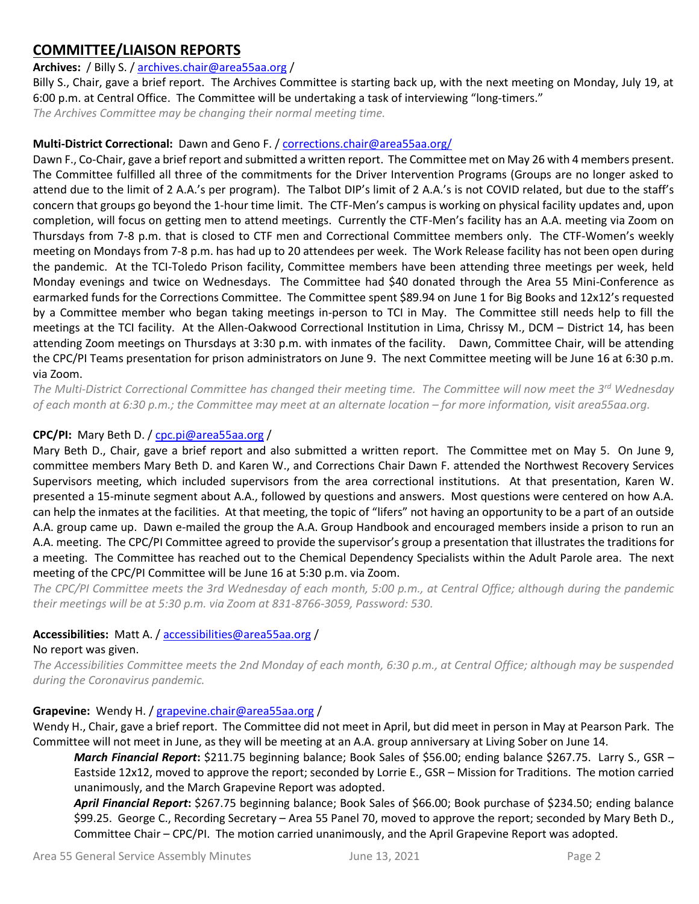## **COMMITTEE/LIAISON REPORTS**

## **Archives:** / Billy S. [/ archives.chair@area55aa.org](mailto:archives.chair@area55aa.org) /

Billy S., Chair, gave a brief report. The Archives Committee is starting back up, with the next meeting on Monday, July 19, at 6:00 p.m. at Central Office. The Committee will be undertaking a task of interviewing "long-timers."

*The Archives Committee may be changing their normal meeting time.* 

#### **Multi-District Correctional:** Dawn and Geno F. [/ corrections.chair@area55aa.org/](mailto:corrections.chair@area55aa.org/)

Dawn F., Co-Chair, gave a brief report and submitted a written report. The Committee met on May 26 with 4 members present. The Committee fulfilled all three of the commitments for the Driver Intervention Programs (Groups are no longer asked to attend due to the limit of 2 A.A.'s per program). The Talbot DIP's limit of 2 A.A.'s is not COVID related, but due to the staff's concern that groups go beyond the 1-hour time limit. The CTF-Men's campus is working on physical facility updates and, upon completion, will focus on getting men to attend meetings. Currently the CTF-Men's facility has an A.A. meeting via Zoom on Thursdays from 7-8 p.m. that is closed to CTF men and Correctional Committee members only. The CTF-Women's weekly meeting on Mondays from 7-8 p.m. has had up to 20 attendees per week. The Work Release facility has not been open during the pandemic. At the TCI-Toledo Prison facility, Committee members have been attending three meetings per week, held Monday evenings and twice on Wednesdays. The Committee had \$40 donated through the Area 55 Mini-Conference as earmarked funds for the Corrections Committee. The Committee spent \$89.94 on June 1 for Big Books and 12x12's requested by a Committee member who began taking meetings in-person to TCI in May. The Committee still needs help to fill the meetings at the TCI facility. At the Allen-Oakwood Correctional Institution in Lima, Chrissy M., DCM – District 14, has been attending Zoom meetings on Thursdays at 3:30 p.m. with inmates of the facility. Dawn, Committee Chair, will be attending the CPC/PI Teams presentation for prison administrators on June 9. The next Committee meeting will be June 16 at 6:30 p.m. via Zoom.

*The Multi-District Correctional Committee has changed their meeting time. The Committee will now meet the 3rd Wednesday of each month at 6:30 p.m.; the Committee may meet at an alternate location – for more information, visit area55aa.org.*

#### **CPC/PI:** Mary Beth D. / [cpc.pi@area55aa.org](mailto:cpc.pi@area55aa.org) /

Mary Beth D., Chair, gave a brief report and also submitted a written report. The Committee met on May 5. On June 9, committee members Mary Beth D. and Karen W., and Corrections Chair Dawn F. attended the Northwest Recovery Services Supervisors meeting, which included supervisors from the area correctional institutions. At that presentation, Karen W. presented a 15-minute segment about A.A., followed by questions and answers. Most questions were centered on how A.A. can help the inmates at the facilities. At that meeting, the topic of "lifers" not having an opportunity to be a part of an outside A.A. group came up. Dawn e-mailed the group the A.A. Group Handbook and encouraged members inside a prison to run an A.A. meeting. The CPC/PI Committee agreed to provide the supervisor's group a presentation that illustrates the traditions for a meeting. The Committee has reached out to the Chemical Dependency Specialists within the Adult Parole area. The next meeting of the CPC/PI Committee will be June 16 at 5:30 p.m. via Zoom.

*The CPC/PI Committee meets the 3rd Wednesday of each month, 5:00 p.m., at Central Office; although during the pandemic their meetings will be at 5:30 p.m. via Zoom at 831-8766-3059, Password: 530.*

#### **Accessibilities:** Matt A. / [accessibilities@area55aa.org](mailto:accessibilities@area55aa.org) /

#### No report was given.

*The Accessibilities Committee meets the 2nd Monday of each month, 6:30 p.m., at Central Office; although may be suspended during the Coronavirus pandemic.*

#### **Grapevine:** Wendy H. / [grapevine.chair@area55aa.org](mailto:grapevine.chair@area55aa.org) /

Wendy H., Chair, gave a brief report. The Committee did not meet in April, but did meet in person in May at Pearson Park. The Committee will not meet in June, as they will be meeting at an A.A. group anniversary at Living Sober on June 14.

*March Financial Report***:** \$211.75 beginning balance; Book Sales of \$56.00; ending balance \$267.75. Larry S., GSR – Eastside 12x12, moved to approve the report; seconded by Lorrie E., GSR – Mission for Traditions. The motion carried unanimously, and the March Grapevine Report was adopted.

*April Financial Report***:** \$267.75 beginning balance; Book Sales of \$66.00; Book purchase of \$234.50; ending balance \$99.25. George C., Recording Secretary – Area 55 Panel 70, moved to approve the report; seconded by Mary Beth D., Committee Chair – CPC/PI. The motion carried unanimously, and the April Grapevine Report was adopted.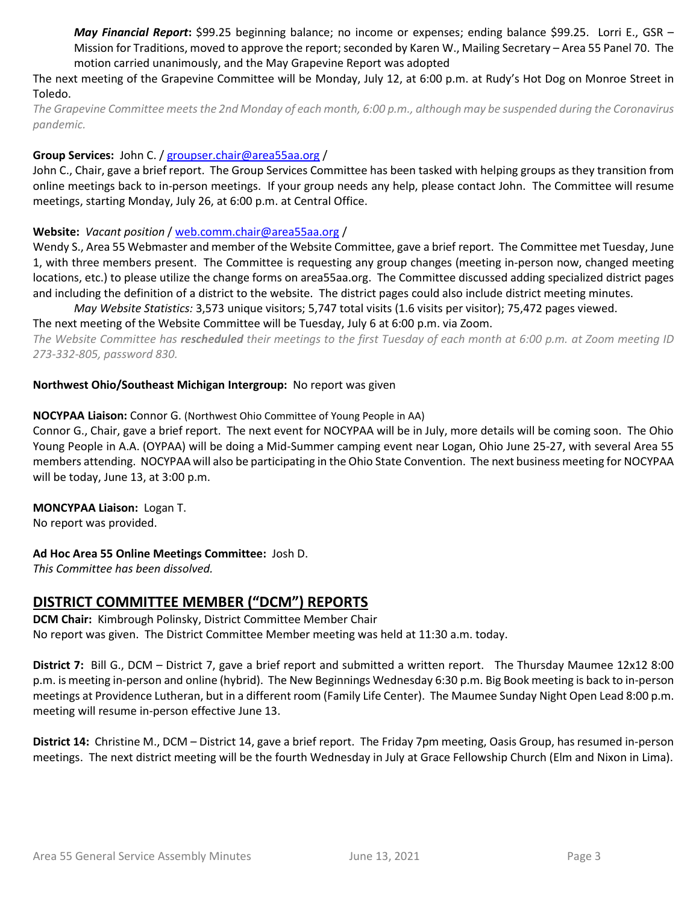*May Financial Report***:** \$99.25 beginning balance; no income or expenses; ending balance \$99.25. Lorri E., GSR – Mission for Traditions, moved to approve the report; seconded by Karen W., Mailing Secretary – Area 55 Panel 70. The motion carried unanimously, and the May Grapevine Report was adopted

The next meeting of the Grapevine Committee will be Monday, July 12, at 6:00 p.m. at Rudy's Hot Dog on Monroe Street in Toledo.

*The Grapevine Committee meets the 2nd Monday of each month, 6:00 p.m., although may be suspended during the Coronavirus pandemic.* 

#### **Group Services:** John C. / [groupser.chair@area55aa.org](mailto:groupser.chair@area55aa.org) /

John C., Chair, gave a brief report. The Group Services Committee has been tasked with helping groups as they transition from online meetings back to in-person meetings. If your group needs any help, please contact John. The Committee will resume meetings, starting Monday, July 26, at 6:00 p.m. at Central Office.

#### **Website:** *Vacant position* [/ web.comm.chair@area55aa.org](mailto:web.comm.chair@area55aa.org) /

Wendy S., Area 55 Webmaster and member of the Website Committee, gave a brief report. The Committee met Tuesday, June 1, with three members present. The Committee is requesting any group changes (meeting in-person now, changed meeting locations, etc.) to please utilize the change forms on area55aa.org. The Committee discussed adding specialized district pages and including the definition of a district to the website. The district pages could also include district meeting minutes.

*May Website Statistics:* 3,573 unique visitors; 5,747 total visits (1.6 visits per visitor); 75,472 pages viewed.

The next meeting of the Website Committee will be Tuesday, July 6 at 6:00 p.m. via Zoom.

*The Website Committee has rescheduled their meetings to the first Tuesday of each month at 6:00 p.m. at Zoom meeting ID 273-332-805, password 830.*

#### **Northwest Ohio/Southeast Michigan Intergroup:** No report was given

#### **NOCYPAA Liaison:** Connor G. (Northwest Ohio Committee of Young People in AA)

Connor G., Chair, gave a brief report. The next event for NOCYPAA will be in July, more details will be coming soon. The Ohio Young People in A.A. (OYPAA) will be doing a Mid-Summer camping event near Logan, Ohio June 25-27, with several Area 55 members attending. NOCYPAA will also be participating in the Ohio State Convention. The next business meeting for NOCYPAA will be today, June 13, at 3:00 p.m.

**MONCYPAA Liaison:** Logan T. No report was provided.

#### **Ad Hoc Area 55 Online Meetings Committee:** Josh D.

*This Committee has been dissolved.*

## **DISTRICT COMMITTEE MEMBER ("DCM") REPORTS**

**DCM Chair:** Kimbrough Polinsky, District Committee Member Chair No report was given. The District Committee Member meeting was held at 11:30 a.m. today.

**District 7:** Bill G., DCM – District 7, gave a brief report and submitted a written report. The Thursday Maumee 12x12 8:00 p.m. is meeting in-person and online (hybrid). The New Beginnings Wednesday 6:30 p.m. Big Book meeting is back to in-person meetings at Providence Lutheran, but in a different room (Family Life Center). The Maumee Sunday Night Open Lead 8:00 p.m. meeting will resume in-person effective June 13.

**District 14:** Christine M., DCM – District 14, gave a brief report. The Friday 7pm meeting, Oasis Group, has resumed in-person meetings. The next district meeting will be the fourth Wednesday in July at Grace Fellowship Church (Elm and Nixon in Lima).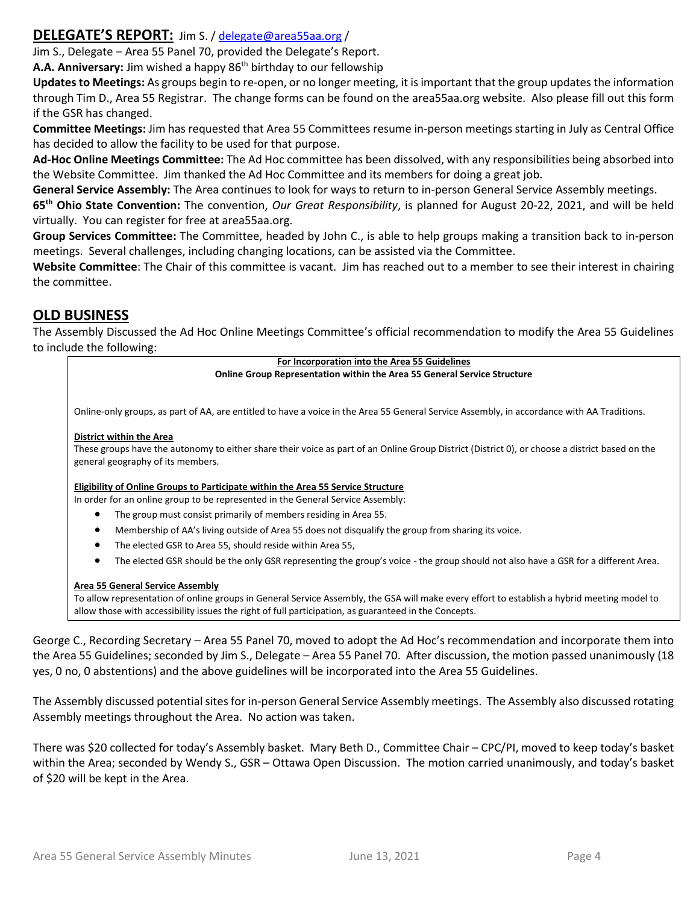## **DELEGATE'S REPORT:** Jim S. / [delegate@area55aa.org](mailto:delegate@area55aa.org) /

Jim S., Delegate – Area 55 Panel 70, provided the Delegate's Report.

**A.A. Anniversary:** Jim wished a happy 86th birthday to our fellowship

**Updates to Meetings:** As groups begin to re-open, or no longer meeting, it is important that the group updates the information through Tim D., Area 55 Registrar. The change forms can be found on the area55aa.org website. Also please fill out this form if the GSR has changed.

**Committee Meetings:** Jim has requested that Area 55 Committees resume in-person meetings starting in July as Central Office has decided to allow the facility to be used for that purpose.

**Ad-Hoc Online Meetings Committee:** The Ad Hoc committee has been dissolved, with any responsibilities being absorbed into the Website Committee. Jim thanked the Ad Hoc Committee and its members for doing a great job.

**General Service Assembly:** The Area continues to look for ways to return to in-person General Service Assembly meetings.

**65th Ohio State Convention:** The convention, *Our Great Responsibility*, is planned for August 20-22, 2021, and will be held virtually. You can register for free at area55aa.org.

**Group Services Committee:** The Committee, headed by John C., is able to help groups making a transition back to in-person meetings. Several challenges, including changing locations, can be assisted via the Committee.

**Website Committee**: The Chair of this committee is vacant. Jim has reached out to a member to see their interest in chairing the committee.

## **OLD BUSINESS**

The Assembly Discussed the Ad Hoc Online Meetings Committee's official recommendation to modify the Area 55 Guidelines to include the following:

> **For Incorporation into the Area 55 Guidelines Online Group Representation within the Area 55 General Service Structure**

Online-only groups, as part of AA, are entitled to have a voice in the Area 55 General Service Assembly, in accordance with AA Traditions.

#### **District within the Area**

These groups have the autonomy to either share their voice as part of an Online Group District (District 0), or choose a district based on the general geography of its members.

#### **Eligibility of Online Groups to Participate within the Area 55 Service Structure**

In order for an online group to be represented in the General Service Assembly:

- The group must consist primarily of members residing in Area 55.
- Membership of AA's living outside of Area 55 does not disqualify the group from sharing its voice.
- The elected GSR to Area 55, should reside within Area 55,
- The elected GSR should be the only GSR representing the group's voice the group should not also have a GSR for a different Area.

#### **Area 55 General Service Assembly**

To allow representation of online groups in General Service Assembly, the GSA will make every effort to establish a hybrid meeting model to allow those with accessibility issues the right of full participation, as guaranteed in the Concepts.

George C., Recording Secretary – Area 55 Panel 70, moved to adopt the Ad Hoc's recommendation and incorporate them into the Area 55 Guidelines; seconded by Jim S., Delegate – Area 55 Panel 70. After discussion, the motion passed unanimously (18 yes, 0 no, 0 abstentions) and the above guidelines will be incorporated into the Area 55 Guidelines.

The Assembly discussed potential sites for in-person General Service Assembly meetings. The Assembly also discussed rotating Assembly meetings throughout the Area. No action was taken.

There was \$20 collected for today's Assembly basket. Mary Beth D., Committee Chair – CPC/PI, moved to keep today's basket within the Area; seconded by Wendy S., GSR – Ottawa Open Discussion. The motion carried unanimously, and today's basket of \$20 will be kept in the Area.